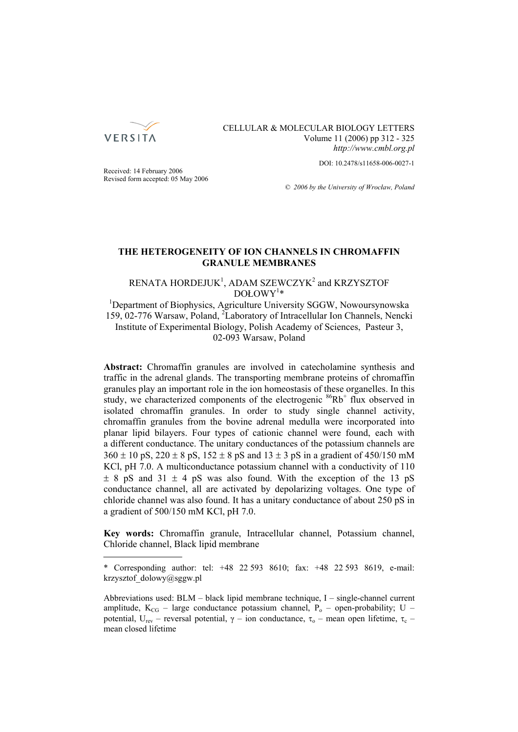

## CELLULAR & MOLECULAR BIOLOGY LETTERS Volume 11 (2006) pp 312 - 325 *http://www.cmbl.org.pl*

DOI: 10.2478/s11658-006-0027-1

Received: 14 February 2006 Revised form accepted: 05 May 2006

*© 2006 by the University of Wrocław, Poland*

## **THE HETEROGENEITY OF ION CHANNELS IN CHROMAFFIN GRANULE MEMBRANES**

# RENATA HORDEJUK<sup>1</sup>, ADAM SZEWCZYK<sup>2</sup> and KRZYSZTOF  $DOLOWY^{1*}$

<sup>1</sup>Department of Biophysics, Agriculture University SGGW, Nowoursynowska 159, 02-776 Warsaw, Poland, 2 Laboratory of Intracellular Ion Channels, Nencki Institute of Experimental Biology, Polish Academy of Sciences, Pasteur 3, 02-093 Warsaw, Poland

**Abstract:** Chromaffin granules are involved in catecholamine synthesis and traffic in the adrenal glands. The transporting membrane proteins of chromaffin granules play an important role in the ion homeostasis of these organelles. In this study, we characterized components of the electrogenic <sup>86</sup>Rb<sup>+</sup> flux observed in isolated chromaffin granules. In order to study single channel activity, chromaffin granules from the bovine adrenal medulla were incorporated into planar lipid bilayers. Four types of cationic channel were found, each with a different conductance. The unitary conductances of the potassium channels are  $360 \pm 10$  pS,  $220 \pm 8$  pS,  $152 \pm 8$  pS and  $13 \pm 3$  pS in a gradient of 450/150 mM KCl, pH 7.0. A multiconductance potassium channel with a conductivity of 110  $\pm$  8 pS and 31  $\pm$  4 pS was also found. With the exception of the 13 pS conductance channel, all are activated by depolarizing voltages. One type of chloride channel was also found. It has a unitary conductance of about 250 pS in a gradient of 500/150 mM KCl, pH 7.0.

**Key words:** Chromaffin granule, Intracellular channel, Potassium channel, Chloride channel, Black lipid membrane

<sup>\*</sup> Corresponding author: tel: +48 22 593 8610; fax: +48 22 593 8619, e-mail: krzysztof\_dolowy@sggw.pl

Abbreviations used: BLM – black lipid membrane technique, I – single-channel current amplitude,  $K_{CG}$  – large conductance potassium channel,  $P_0$  – open-probability; U – potential, U<sub>rev</sub> – reversal potential, γ – ion conductance, τ<sub>o</sub> – mean open lifetime, τ<sub>c</sub> – mean closed lifetime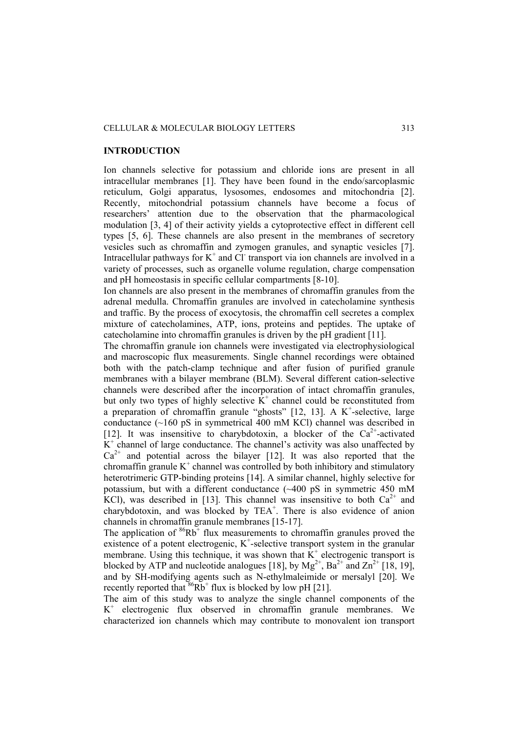## **INTRODUCTION**

Ion channels selective for potassium and chloride ions are present in all intracellular membranes [1]. They have been found in the endo/sarcoplasmic reticulum, Golgi apparatus, lysosomes, endosomes and mitochondria [2]. Recently, mitochondrial potassium channels have become a focus of researchers' attention due to the observation that the pharmacological modulation [3, 4] of their activity yields a cytoprotective effect in different cell types [5, 6]. These channels are also present in the membranes of secretory vesicles such as chromaffin and zymogen granules, and synaptic vesicles [7]. Intracellular pathways for  $K^+$  and Cl transport via ion channels are involved in a variety of processes, such as organelle volume regulation, charge compensation and pH homeostasis in specific cellular compartments [8-10].

Ion channels are also present in the membranes of chromaffin granules from the adrenal medulla. Chromaffin granules are involved in catecholamine synthesis and traffic. By the process of exocytosis, the chromaffin cell secretes a complex mixture of catecholamines, ATP, ions, proteins and peptides. The uptake of catecholamine into chromaffin granules is driven by the pH gradient [11].

The chromaffin granule ion channels were investigated via electrophysiological and macroscopic flux measurements. Single channel recordings were obtained both with the patch-clamp technique and after fusion of purified granule membranes with a bilayer membrane (BLM). Several different cation-selective channels were described after the incorporation of intact chromaffin granules, but only two types of highly selective  $K^+$  channel could be reconstituted from a preparation of chromaffin granule "ghosts"  $[12, 13]$ . A K<sup>+</sup>-selective, large conductance (~160 pS in symmetrical 400 mM KCl) channel was described in [12]. It was insensitive to charybdotoxin, a blocker of the  $Ca^{2+}$ -activated  $\overline{K}^+$  channel of large conductance. The channel's activity was also unaffected by  $Ca^{2+}$  and potential across the bilayer [12]. It was also reported that the chromaffin granule  $K^+$  channel was controlled by both inhibitory and stimulatory heterotrimeric GTP-binding proteins [14]. A similar channel, highly selective for potassium, but with a different conductance (~400 pS in symmetric 450 mM KCl), was described in [13]. This channel was insensitive to both  $Ca^{2+}$  and charybdotoxin, and was blocked by TEA<sup>+</sup>. There is also evidence of anion channels in chromaffin granule membranes [15-17].

The application of  $86Rb^+$  flux measurements to chromaffin granules proved the existence of a potent electrogenic,  $K^+$ -selective transport system in the granular membrane. Using this technique, it was shown that  $\tilde{K}^+$  electrogenic transport is blocked by ATP and nucleotide analogues [18], by  $Mg^{2+}$ , Ba<sup>2+</sup> and Zn<sup>2+</sup> [18, 19], and by SH-modifying agents such as N-ethylmaleimide or mersalyl [20]. We recently reported that  $86Rb^+$  flux is blocked by low pH [21].

The aim of this study was to analyze the single channel components of the K+ electrogenic flux observed in chromaffin granule membranes. We characterized ion channels which may contribute to monovalent ion transport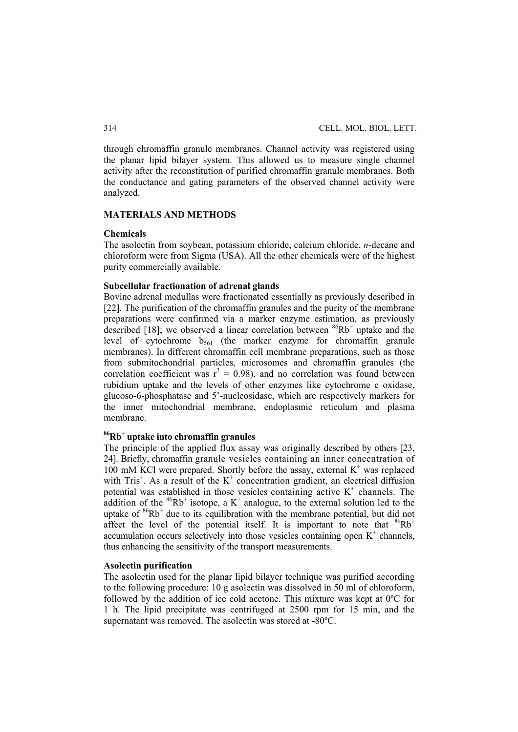through chromaffin granule membranes. Channel activity was registered using the planar lipid bilayer system. This allowed us to measure single channel activity after the reconstitution of purified chromaffin granule membranes. Both the conductance and gating parameters of the observed channel activity were analyzed.

## **MATERIALS AND METHODS**

#### **Chemicals**

The asolectin from soybean, potassium chloride, calcium chloride, *n*-decane and chloroform were from Sigma (USA). All the other chemicals were of the highest purity commercially available.

#### **Subcellular fractionation of adrenal glands**

Bovine adrenal medullas were fractionated essentially as previously described in [22]. The purification of the chromaffin granules and the purity of the membrane preparations were confirmed via a marker enzyme estimation, as previously described [18]; we observed a linear correlation between  $86Rb^+$  uptake and the level of cytochrome  $b_{561}$  (the marker enzyme for chromaffin granule membranes). In different chromaffin cell membrane preparations, such as those from submitochondrial particles, microsomes and chromaffin granules (the correlation coefficient was  $r^2 = 0.98$ ), and no correlation was found between rubidium uptake and the levels of other enzymes like cytochrome c oxidase, glucoso-6-phosphatase and 5'-nucleosidase, which are respectively markers for the inner mitochondrial membrane, endoplasmic reticulum and plasma membrane.

# **86Rb+ uptake into chromaffin granules**

The principle of the applied flux assay was originally described by others [23, 24]. Briefly, chromaffin granule vesicles containing an inner concentration of 100 mM KCl were prepared. Shortly before the assay, external  $K^+$  was replaced with Tris<sup>+</sup>. As a result of the  $K^+$  concentration gradient, an electrical diffusion potential was established in those vesicles containing active  $K^+$  channels. The addition of the  ${}^{86}Rb^+$  isotope, a K<sup>+</sup> analogue, to the external solution led to the uptake of  $86Rb^+$  due to its equilibration with the membrane potential, but did not affect the level of the potential itself. It is important to note that  ${}^{86}Rb^+$ accumulation occurs selectively into those vesicles containing open  $K^+$  channels, thus enhancing the sensitivity of the transport measurements.

## **Asolectin purification**

The asolectin used for the planar lipid bilayer technique was purified according to the following procedure: 10 g asolectin was dissolved in 50 ml of chloroform, followed by the addition of ice cold acetone. This mixture was kept at 0ºC for 1 h. The lipid precipitate was centrifuged at 2500 rpm for 15 min, and the supernatant was removed. The asolectin was stored at -80ºC.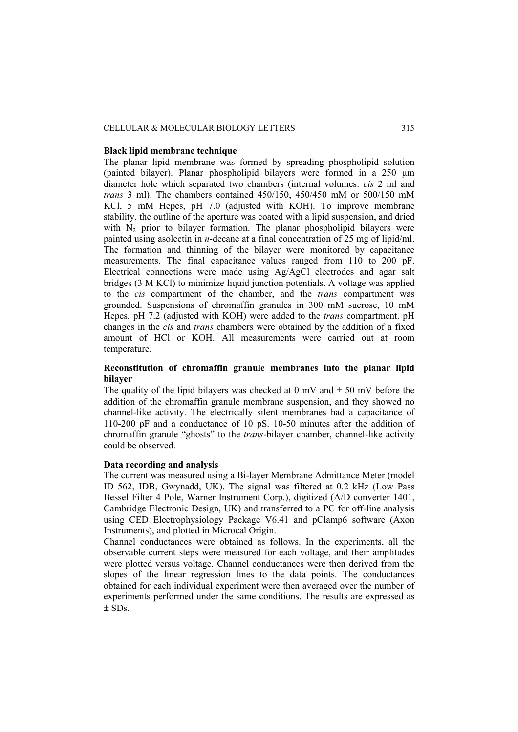### CELLULAR & MOLECULAR BIOLOGY LETTERS 315

#### **Black lipid membrane technique**

The planar lipid membrane was formed by spreading phospholipid solution (painted bilayer). Planar phospholipid bilayers were formed in a 250 μm diameter hole which separated two chambers (internal volumes: *cis* 2 ml and *trans* 3 ml). The chambers contained 450/150, 450/450 mM or 500/150 mM KCl, 5 mM Hepes, pH 7.0 (adjusted with KOH). To improve membrane stability, the outline of the aperture was coated with a lipid suspension, and dried with  $N<sub>2</sub>$  prior to bilayer formation. The planar phospholipid bilayers were painted using asolectin in *n*-decane at a final concentration of 25 mg of lipid/ml. The formation and thinning of the bilayer were monitored by capacitance measurements. The final capacitance values ranged from 110 to 200 pF. Electrical connections were made using Ag/AgCl electrodes and agar salt bridges (3 M KCl) to minimize liquid junction potentials. A voltage was applied to the *cis* compartment of the chamber, and the *trans* compartment was grounded. Suspensions of chromaffin granules in 300 mM sucrose, 10 mM Hepes, pH 7.2 (adjusted with KOH) were added to the *trans* compartment. pH changes in the *cis* and *trans* chambers were obtained by the addition of a fixed amount of HCl or KOH. All measurements were carried out at room temperature.

## **Reconstitution of chromaffin granule membranes into the planar lipid bilayer**

The quality of the lipid bilayers was checked at 0 mV and  $\pm$  50 mV before the addition of the chromaffin granule membrane suspension, and they showed no channel-like activity. The electrically silent membranes had a capacitance of 110-200 pF and a conductance of 10 pS. 10-50 minutes after the addition of chromaffin granule "ghosts" to the *trans*-bilayer chamber, channel-like activity could be observed.

### **Data recording and analysis**

The current was measured using a Bi-layer Membrane Admittance Meter (model ID 562, IDB, Gwynadd, UK). The signal was filtered at 0.2 kHz (Low Pass Bessel Filter 4 Pole, Warner Instrument Corp.), digitized (A/D converter 1401, Cambridge Electronic Design, UK) and transferred to a PC for off-line analysis using CED Electrophysiology Package V6.41 and pClamp6 software (Axon Instruments), and plotted in Microcal Origin.

Channel conductances were obtained as follows. In the experiments, all the observable current steps were measured for each voltage, and their amplitudes were plotted versus voltage. Channel conductances were then derived from the slopes of the linear regression lines to the data points. The conductances obtained for each individual experiment were then averaged over the number of experiments performed under the same conditions. The results are expressed as  $+$  SDs.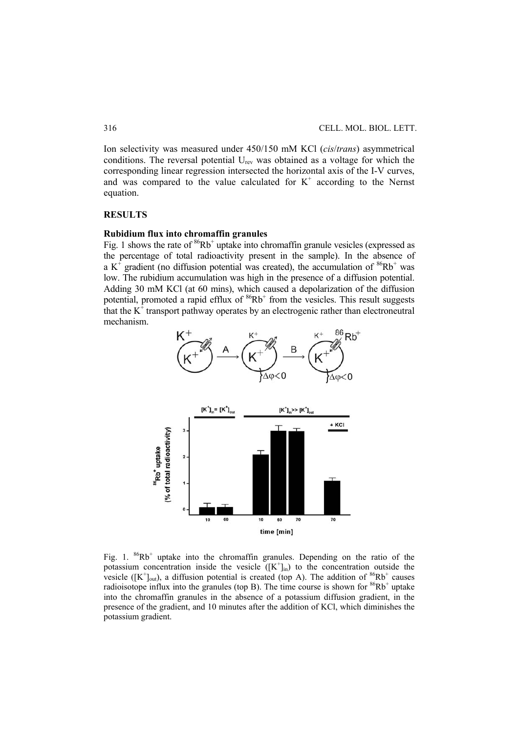Ion selectivity was measured under 450/150 mM KCl (*cis*/*trans*) asymmetrical conditions. The reversal potential  $U_{rev}$  was obtained as a voltage for which the corresponding linear regression intersected the horizontal axis of the I-V curves, and was compared to the value calculated for  $K^+$  according to the Nernst equation.

## **RESULTS**

## **Rubidium flux into chromaffin granules**

Fig. 1 shows the rate of  ${}^{86}Rb^+$  uptake into chromaffin granule vesicles (expressed as the percentage of total radioactivity present in the sample). In the absence of a  $K^f$  gradient (no diffusion potential was created), the accumulation of  $86Rb^+$  was low. The rubidium accumulation was high in the presence of a diffusion potential. Adding 30 mM KCl (at 60 mins), which caused a depolarization of the diffusion potential, promoted a rapid efflux of  ${}^{86}Rb^+$  from the vesicles. This result suggests that the  $K^{\dagger}$  transport pathway operates by an electrogenic rather than electroneutral mechanism.





Fig. 1.  $86Rb^+$  uptake into the chromaffin granules. Depending on the ratio of the potassium concentration inside the vesicle  $([K^+]_{in})$  to the concentration outside the vesicle ( $[K^{\dagger}]_{out}$ ), a diffusion potential is created (top A). The addition of  ${}^{86}Rb^+$  causes radioisotope influx into the granules (top B). The time course is shown for  $86Rb^+$  uptake into the chromaffin granules in the absence of a potassium diffusion gradient, in the presence of the gradient, and 10 minutes after the addition of KCl, which diminishes the potassium gradient.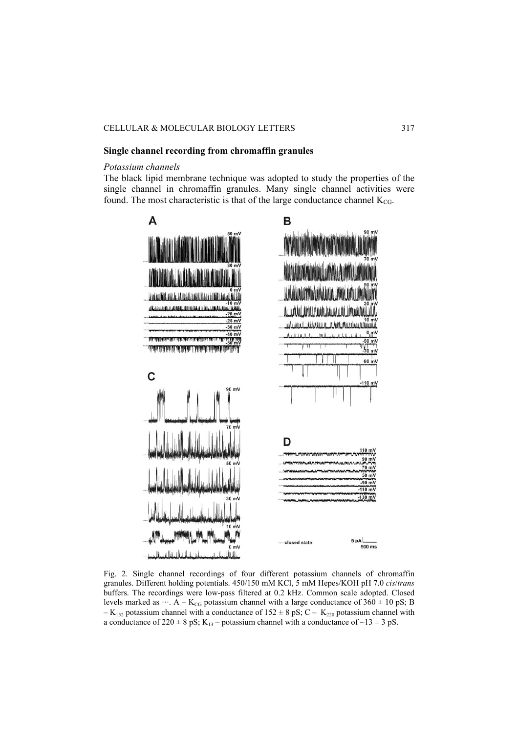#### **Single channel recording from chromaffin granules**

## *Potassium channels*

The black lipid membrane technique was adopted to study the properties of the single channel in chromaffin granules. Many single channel activities were found. The most characteristic is that of the large conductance channel  $K_{CG}$ .



Fig. 2. Single channel recordings of four different potassium channels of chromaffin granules. Different holding potentials. 450/150 mM KCl, 5 mM Hepes/KOH pH 7.0 *cis*/*trans* buffers. The recordings were low-pass filtered at 0.2 kHz. Common scale adopted. Closed levels marked as  $\cdots$ . A – K<sub>CG</sub> potassium channel with a large conductance of 360  $\pm$  10 pS; B  $-K_{152}$  potassium channel with a conductance of  $152 \pm 8$  pS; C –  $K_{220}$  potassium channel with a conductance of  $220 \pm 8$  pS; K<sub>13</sub> – potassium channel with a conductance of  $\sim$ 13  $\pm$  3 pS.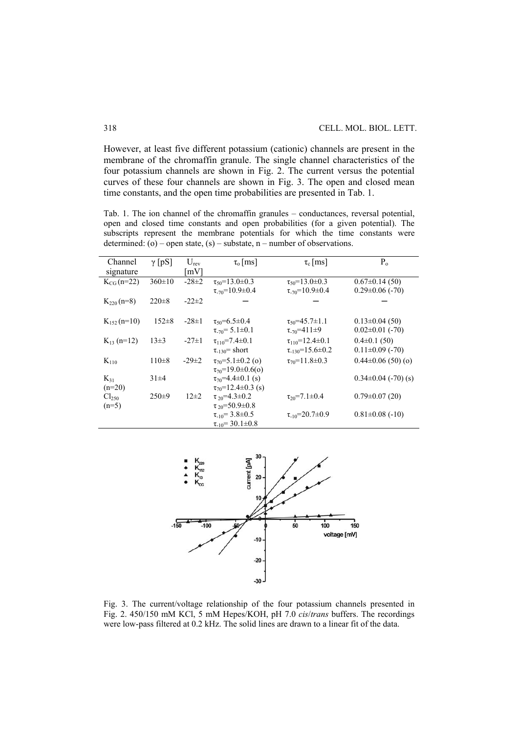However, at least five different potassium (cationic) channels are present in the membrane of the chromaffin granule. The single channel characteristics of the four potassium channels are shown in Fig. 2. The current versus the potential curves of these four channels are shown in Fig. 3. The open and closed mean time constants, and the open time probabilities are presented in Tab. 1.

Tab. 1. The ion channel of the chromaffin granules – conductances, reversal potential, open and closed time constants and open probabilities (for a given potential). The subscripts represent the membrane potentials for which the time constants were determined: (o) – open state, (s) – substate,  $n$  – number of observations.

| Channel<br>signature         | $\gamma$ [pS] | $U_{\text{rev}}$<br>$\lceil mV \rceil$ | $\tau_{o}$ [ms]                                                 | $\tau_c$ [ms]                                               | $P_0$                                         |
|------------------------------|---------------|----------------------------------------|-----------------------------------------------------------------|-------------------------------------------------------------|-----------------------------------------------|
| $K_{CG}$ (n=22)              | $360 \pm 10$  | $-28\pm 2$                             | $\tau_{50} = 13.0 \pm 0.3$<br>$\tau_{.70} = 10.9 \pm 0.4$       | $\tau_{50} = 13.0 \pm 0.3$<br>$\tau_{.70} = 10.9 \pm 0.4$   | $0.67 \pm 0.14$ (50)<br>$0.29 \pm 0.06$ (-70) |
| $K_{220}(n=8)$               | $220 \pm 8$   | $-22\pm 2$                             |                                                                 |                                                             |                                               |
| $K_{152}$ (n=10)             | $152 \pm 8$   | $-28 \pm 1$                            | $\tau_{50} = 6.5 \pm 0.4$<br>$\tau_{.70} = 5.1 \pm 0.1$         | $\tau_{50} = 45.7 \pm 1.1$<br>$\tau_{-70} = 411 \pm 9$      | $0.13 \pm 0.04$ (50)<br>$0.02\pm0.01$ (-70)   |
| $K_{13}$ (n=12)              | $13\pm3$      | $-27\pm1$                              | $\tau_{110} = 7.4 \pm 0.1$<br>$\tau_{-130}$ = short             | $\tau_{110} = 12.4 \pm 0.1$<br>$\tau_{-130} = 15.6 \pm 0.2$ | $0.4\pm0.1(50)$<br>$0.11 \pm 0.09$ (-70)      |
| $K_{110}$                    | $110\pm 8$    | $-29\pm 2$                             | $\tau_{70} = 5.1 \pm 0.2$ (o)<br>$\tau_{70} = 19.0 \pm 0.6(0)$  | $\tau_{70} = 11.8 \pm 0.3$                                  | $0.44\pm0.06(50)(o)$                          |
| $K_{31}$<br>$(n=20)$         | $31\pm4$      |                                        | $\tau_{70} = 4.4 \pm 0.1$ (s)<br>$\tau_{70} = 12.4 \pm 0.3$ (s) |                                                             | $0.34\pm0.04$ (-70) (s)                       |
| Cl <sub>250</sub><br>$(n=5)$ | $250\pm9$     | $12\pm 2$                              | $\tau_{20} = 4.3 \pm 0.2$<br>$\tau_{20} = 50.9 \pm 0.8$         | $\tau_{20} = 7.1 \pm 0.4$                                   | $0.79 \pm 0.07(20)$                           |
|                              |               |                                        | $\tau_{-10} = 3.8 \pm 0.5$<br>$\tau_{-10} = 30.1 \pm 0.8$       | $\tau_{10} = 20.7 \pm 0.9$                                  | $0.81 \pm 0.08$ (-10)                         |



Fig. 3. The current/voltage relationship of the four potassium channels presented in Fig. 2. 450/150 mM KCl, 5 mM Hepes/KOH, pH 7.0 *cis*/*trans* buffers. The recordings were low-pass filtered at 0.2 kHz. The solid lines are drawn to a linear fit of the data.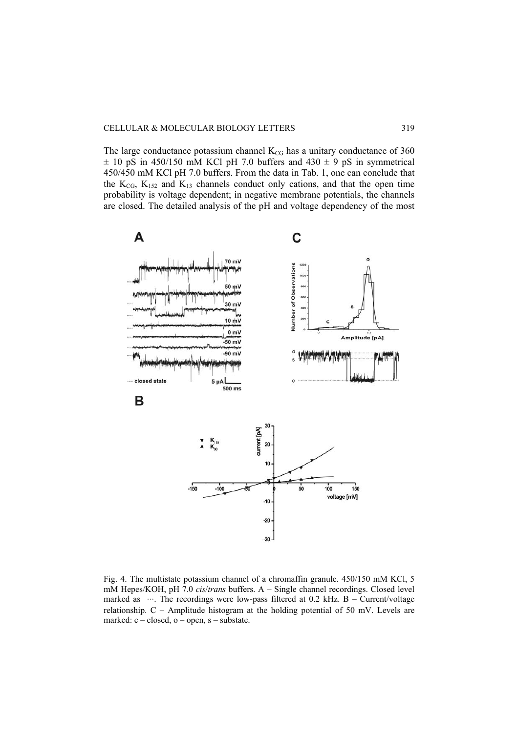The large conductance potassium channel  $K_{CG}$  has a unitary conductance of 360  $\pm$  10 pS in 450/150 mM KCl pH 7.0 buffers and 430  $\pm$  9 pS in symmetrical 450/450 mM KCl pH 7.0 buffers. From the data in Tab. 1, one can conclude that the  $K_{CG}$ ,  $K_{152}$  and  $K_{13}$  channels conduct only cations, and that the open time probability is voltage dependent; in negative membrane potentials, the channels are closed. The detailed analysis of the pH and voltage dependency of the most



Fig. 4. The multistate potassium channel of a chromaffin granule. 450/150 mM KCl, 5 mM Hepes/KOH, pH 7.0 *cis*/*trans* buffers. A – Single channel recordings. Closed level marked as  $\cdots$ . The recordings were low-pass filtered at 0.2 kHz. B – Current/voltage relationship. C – Amplitude histogram at the holding potential of 50 mV. Levels are marked:  $c - closed$ ,  $o - open$ ,  $s - substance$ .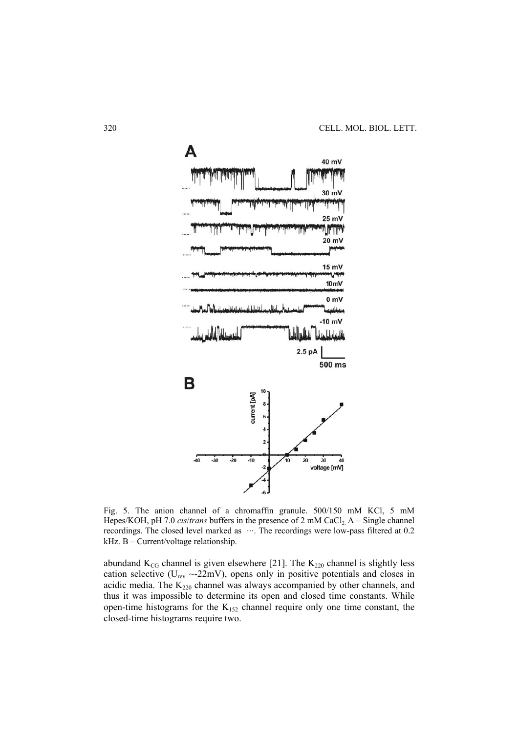

Fig. 5. The anion channel of a chromaffin granule. 500/150 mM KCl, 5 mM Hepes/KOH, pH 7.0 *cis/trans* buffers in the presence of 2 mM CaCl<sub>2</sub> A – Single channel recordings. The closed level marked as  $\cdots$ . The recordings were low-pass filtered at 0.2 kHz. B – Current/voltage relationship.

abundand  $K_{CG}$  channel is given elsewhere [21]. The  $K_{220}$  channel is slightly less cation selective ( $U_{\text{rev}} \sim 22 \text{mV}$ ), opens only in positive potentials and closes in acidic media. The  $K_{220}$  channel was always accompanied by other channels, and thus it was impossible to determine its open and closed time constants. While open-time histograms for the  $K_{152}$  channel require only one time constant, the closed-time histograms require two.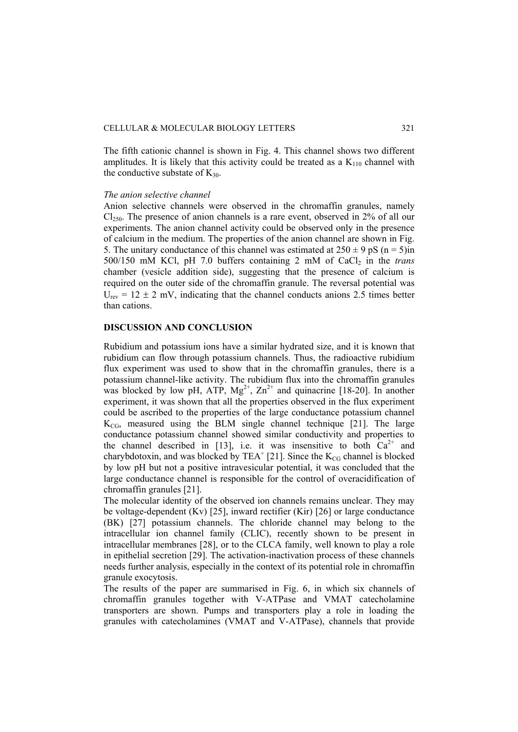The fifth cationic channel is shown in Fig. 4. This channel shows two different amplitudes. It is likely that this activity could be treated as a  $K_{110}$  channel with the conductive substate of  $K_{30}$ .

### *The anion selective channel*

Anion selective channels were observed in the chromaffin granules, namely  $Cl<sub>250</sub>$ . The presence of anion channels is a rare event, observed in 2% of all our experiments. The anion channel activity could be observed only in the presence of calcium in the medium. The properties of the anion channel are shown in Fig. 5. The unitary conductance of this channel was estimated at  $250 \pm 9$  pS (n = 5)in 500/150 mM KCl, pH 7.0 buffers containing 2 mM of CaCl<sub>2</sub> in the *trans* chamber (vesicle addition side), suggesting that the presence of calcium is required on the outer side of the chromaffin granule. The reversal potential was  $U_{\text{rev}} = 12 \pm 2$  mV, indicating that the channel conducts anions 2.5 times better than cations.

## **DISCUSSION AND CONCLUSION**

Rubidium and potassium ions have a similar hydrated size, and it is known that rubidium can flow through potassium channels. Thus, the radioactive rubidium flux experiment was used to show that in the chromaffin granules, there is a potassium channel-like activity. The rubidium flux into the chromaffin granules was blocked by low pH, ATP,  $Mg^{2+}$ ,  $Zn^{2+}$  and quinacrine [18-20]. In another experiment, it was shown that all the properties observed in the flux experiment could be ascribed to the properties of the large conductance potassium channel  $K_{CG}$ , measured using the BLM single channel technique [21]. The large conductance potassium channel showed similar conductivity and properties to the channel described in [13], i.e. it was insensitive to both  $Ca^{2+}$  and charybdotoxin, and was blocked by TEA<sup>+</sup> [21]. Since the  $K_{CG}$  channel is blocked by low pH but not a positive intravesicular potential, it was concluded that the large conductance channel is responsible for the control of overacidification of chromaffin granules [21].

The molecular identity of the observed ion channels remains unclear. They may be voltage-dependent (Kv) [25], inward rectifier (Kir) [26] or large conductance (BK) [27] potassium channels. The chloride channel may belong to the intracellular ion channel family (CLIC), recently shown to be present in intracellular membranes [28], or to the CLCA family, well known to play a role in epithelial secretion [29]. The activation-inactivation process of these channels needs further analysis, especially in the context of its potential role in chromaffin granule exocytosis.

The results of the paper are summarised in Fig. 6, in which six channels of chromaffin granules together with V-ATPase and VMAT catecholamine transporters are shown. Pumps and transporters play a role in loading the granules with catecholamines (VMAT and V-ATPase), channels that provide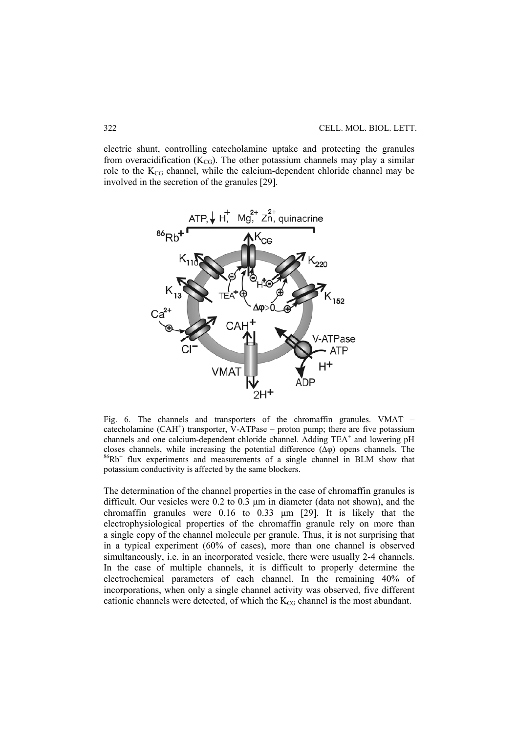electric shunt, controlling catecholamine uptake and protecting the granules from overacidification ( $K_{CG}$ ). The other potassium channels may play a similar role to the  $K_{CG}$  channel, while the calcium-dependent chloride channel may be involved in the secretion of the granules [29].



Fig. 6. The channels and transporters of the chromaffin granules. VMAT – catecholamine  $(CAH^+)$  transporter, V-ATPase – proton pump; there are five potassium channels and one calcium-dependent chloride channel. Adding TEA<sup>+</sup> and lowering pH closes channels, while increasing the potential difference  $(\Delta \varphi)$  opens channels. The  ${}^{86}Rb^+$  flux experiments and measurements of a single channel in BLM show that potassium conductivity is affected by the same blockers.

The determination of the channel properties in the case of chromaffin granules is difficult. Our vesicles were 0.2 to 0.3 μm in diameter (data not shown), and the chromaffin granules were 0.16 to 0.33 μm [29]. It is likely that the electrophysiological properties of the chromaffin granule rely on more than a single copy of the channel molecule per granule. Thus, it is not surprising that in a typical experiment (60% of cases), more than one channel is observed simultaneously, i.e. in an incorporated vesicle, there were usually 2-4 channels. In the case of multiple channels, it is difficult to properly determine the electrochemical parameters of each channel. In the remaining 40% of incorporations, when only a single channel activity was observed, five different cationic channels were detected, of which the  $K_{CG}$  channel is the most abundant.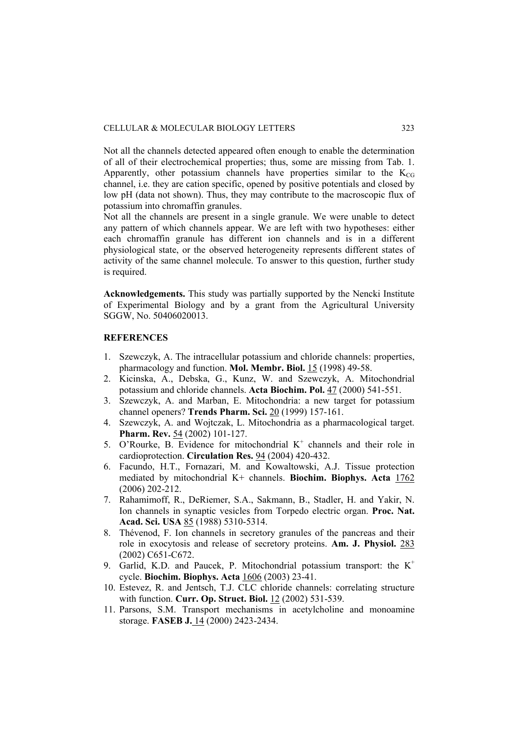Not all the channels detected appeared often enough to enable the determination of all of their electrochemical properties; thus, some are missing from Tab. 1. Apparently, other potassium channels have properties similar to the  $K_{CG}$ channel, i.e. they are cation specific, opened by positive potentials and closed by low pH (data not shown). Thus, they may contribute to the macroscopic flux of potassium into chromaffin granules.

Not all the channels are present in a single granule. We were unable to detect any pattern of which channels appear. We are left with two hypotheses: either each chromaffin granule has different ion channels and is in a different physiological state, or the observed heterogeneity represents different states of activity of the same channel molecule. To answer to this question, further study is required.

**Acknowledgements.** This study was partially supported by the Nencki Institute of Experimental Biology and by a grant from the Agricultural University SGGW, No. 50406020013.

## **REFERENCES**

- 1. Szewczyk, A. The intracellular potassium and chloride channels: properties, pharmacology and function. **Mol. Membr. Biol.** 15 (1998) 49-58.
- 2. Kicinska, A., Debska, G., Kunz, W. and Szewczyk, A. Mitochondrial potassium and chloride channels. **Acta Biochim. Pol.** 47 (2000) 541-551.
- 3. Szewczyk, A. and Marban, E. Mitochondria: a new target for potassium channel openers? **Trends Pharm. Sci.** 20 (1999) 157-161.
- 4. Szewczyk, A. and Wojtczak, L. Mitochondria as a pharmacological target. **Pharm. Rev.** 54 (2002) 101-127.
- 5. O'Rourke, B. Evidence for mitochondrial  $K^+$  channels and their role in cardioprotection. **Circulation Res.** 94 (2004) 420-432.
- 6. Facundo, H.T., Fornazari, M. and Kowaltowski, A.J. Tissue protection mediated by mitochondrial K+ channels. **Biochim. Biophys. Acta** 1762 (2006) 202-212.
- 7. Rahamimoff, R., DeRiemer, S.A., Sakmann, B., Stadler, H. and Yakir, N. Ion channels in synaptic vesicles from Torpedo electric organ. **Proc. Nat. Acad. Sci. USA** 85 (1988) 5310-5314.
- 8. Thévenod, F. Ion channels in secretory granules of the pancreas and their role in exocytosis and release of secretory proteins. **Am. J. Physiol.** 283 (2002) C651-C672.
- 9. Garlid, K.D. and Paucek, P. Mitochondrial potassium transport: the  $K^+$ cycle. **Biochim. Biophys. Acta** 1606 (2003) 23-41.
- 10. Estevez, R. and Jentsch, T.J. CLC chloride channels: correlating structure with function. **Curr. Op. Struct. Biol.** 12 (2002) 531-539.
- 11. Parsons, S.M. Transport mechanisms in acetylcholine and monoamine storage. **FASEB J.** 14 (2000) 2423-2434.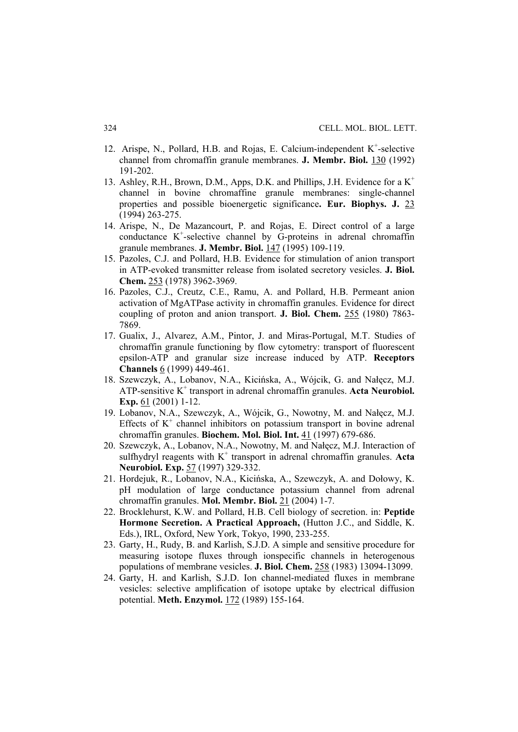- 12. Arispe, N., Pollard, H.B. and Rojas, E. Calcium-independent K<sup>+</sup>-selective channel from chromaffin granule membranes. **J. Membr. Biol.** 130 (1992) 191-202.
- 13. Ashley, R.H., Brown, D.M., Apps, D.K. and Phillips, J.H. Evidence for a K+ channel in bovine chromaffine granule membranes: single-channel properties and possible bioenergetic significance**. Eur. Biophys. J.** 23 (1994) 263-275.
- 14. Arispe, N., De Mazancourt, P. and Rojas, E. Direct control of a large conductance K<sup>+</sup>-selective channel by G-proteins in adrenal chromaffin granule membranes. **J. Membr. Biol.** 147 (1995) 109-119.
- 15. Pazoles, C.J. and Pollard, H.B. Evidence for stimulation of anion transport in ATP-evoked transmitter release from isolated secretory vesicles. **J. Biol. Chem.** 253 (1978) 3962-3969.
- 16. Pazoles, C.J., Creutz, C.E., Ramu, A. and Pollard, H.B. Permeant anion activation of MgATPase activity in chromaffin granules. Evidence for direct coupling of proton and anion transport. **J. Biol. Chem.** 255 (1980) 7863- 7869.
- 17. Gualix, J., Alvarez, A.M., Pintor, J. and Miras-Portugal, M.T. Studies of chromaffin granule functioning by flow cytometry: transport of fluorescent epsilon-ATP and granular size increase induced by ATP. **Receptors Channels** 6 (1999) 449-461.
- 18. Szewczyk, A., Lobanov, N.A., Kicińska, A., Wójcik, G. and Nałęcz, M.J. ATP-sensitive K<sup>+</sup> transport in adrenal chromaffin granules. Acta Neurobiol. **Exp.** 61 (2001) 1-12.
- 19. Lobanov, N.A., Szewczyk, A., Wójcik, G., Nowotny, M. and Nałęcz, M.J. Effects of  $K^+$  channel inhibitors on potassium transport in bovine adrenal chromaffin granules. **Biochem. Mol. Biol. Int.** 41 (1997) 679-686.
- 20. Szewczyk, A., Lobanov, N.A., Nowotny, M. and Nałęcz, M.J. Interaction of sulfhydryl reagents with  $K^+$  transport in adrenal chromaffin granules. Acta **Neurobiol. Exp.** 57 (1997) 329-332.
- 21. Hordejuk, R., Lobanov, N.A., Kicińska, A., Szewczyk, A. and Dołowy, K. pH modulation of large conductance potassium channel from adrenal chromaffin granules. **Mol. Membr. Biol.** 21 (2004) 1-7.
- 22. Brocklehurst, K.W. and Pollard, H.B. Cell biology of secretion. in: **Peptide Hormone Secretion. A Practical Approach,** (Hutton J.C., and Siddle, K. Eds.), IRL, Oxford, New York, Tokyo, 1990, 233-255.
- 23. Garty, H., Rudy, B. and Karlish, S.J.D. A simple and sensitive procedure for measuring isotope fluxes through ionspecific channels in heterogenous populations of membrane vesicles. **J. Biol. Chem.** 258 (1983) 13094-13099.
- 24. Garty, H. and Karlish, S.J.D. Ion channel-mediated fluxes in membrane vesicles: selective amplification of isotope uptake by electrical diffusion potential. **Meth. Enzymol.** 172 (1989) 155-164.